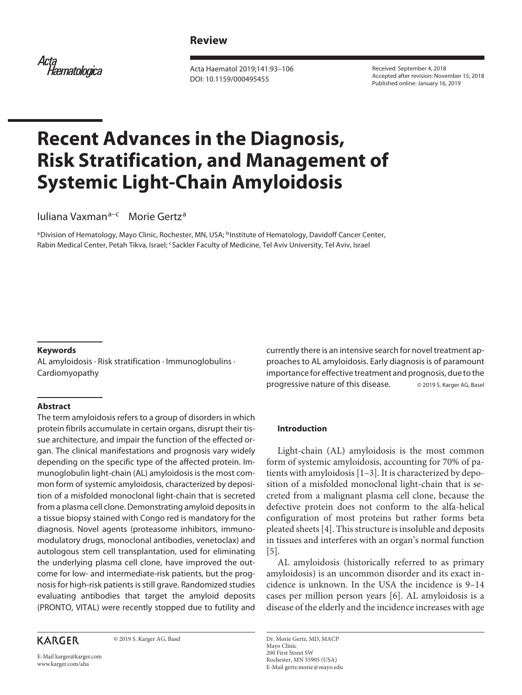# **Review**

Acta<br>Hæmatologica

Acta Haematol 2019;141:93–106 DOI: 10.1159/000495455

Received: September 4, 2018 Accepted after revision: November 15, 2018 Published online: January 16, 2019

# **Recent Advances in the Diagnosis, Risk Stratification, and Management of Systemic Light-Chain Amyloidosis**

Iuliana Vaxman<sup>a–c</sup> Morie Gertz<sup>a</sup>

aDivision of Hematology, Mayo Clinic, Rochester, MN, USA; <sup>b</sup>Institute of Hematology, Davidoff Cancer Center, Rabin Medical Center, Petah Tikva, Israel; <sup>c</sup>Sackler Faculty of Medicine, Tel Aviv University, Tel Aviv, Israel

#### **Keywords**

AL amyloidosis · Risk stratification · Immunoglobulins · Cardiomyopathy

#### **Abstract**

The term amyloidosis refers to a group of disorders in which protein fibrils accumulate in certain organs, disrupt their tissue architecture, and impair the function of the effected organ. The clinical manifestations and prognosis vary widely depending on the specific type of the affected protein. Immunoglobulin light-chain (AL) amyloidosis is the most common form of systemic amyloidosis, characterized by deposition of a misfolded monoclonal light-chain that is secreted from a plasma cell clone. Demonstrating amyloid deposits in a tissue biopsy stained with Congo red is mandatory for the diagnosis. Novel agents (proteasome inhibitors, immunomodulatory drugs, monoclonal antibodies, venetoclax) and autologous stem cell transplantation, used for eliminating the underlying plasma cell clone, have improved the outcome for low- and intermediate-risk patients, but the prognosis for high-risk patients is still grave. Randomized studies evaluating antibodies that target the amyloid deposits (PRONTO, VITAL) were recently stopped due to futility and

# **KARGER**

© 2019 S. Karger AG, Basel

E-Mail karger@karger.com www.karger.com/aha

currently there is an intensive search for novel treatment approaches to AL amyloidosis. Early diagnosis is of paramount importance for effective treatment and prognosis, due to the progressive nature of this disease. © 2019 S. Karger AG, Basel

#### **Introduction**

<span id="page-0-0"></span>Light-chain (AL) amyloidosis is the most common form of systemic amyloidosis, accounting for 70% of patients with amyloidosis [[1–](#page-11-0)[3\]](#page-11-1). It is characterized by deposition of a misfolded monoclonal light-chain that is secreted from a malignant plasma cell clone, because the defective protein does not conform to the alfa-helical configuration of most proteins but rather forms beta pleated sheets [\[4](#page-11-2)]. This structure is insoluble and deposits in tissues and interferes with an organ's normal function [[5](#page-11-3)].

<span id="page-0-3"></span><span id="page-0-2"></span><span id="page-0-1"></span>AL amyloidosis (historically referred to as primary amyloidosis) is an uncommon disorder and its exact incidence is unknown. In the USA the incidence is 9–14 cases per million person years [\[6](#page-11-4)]. AL amyloidosis is a disease of the elderly and the incidence increases with age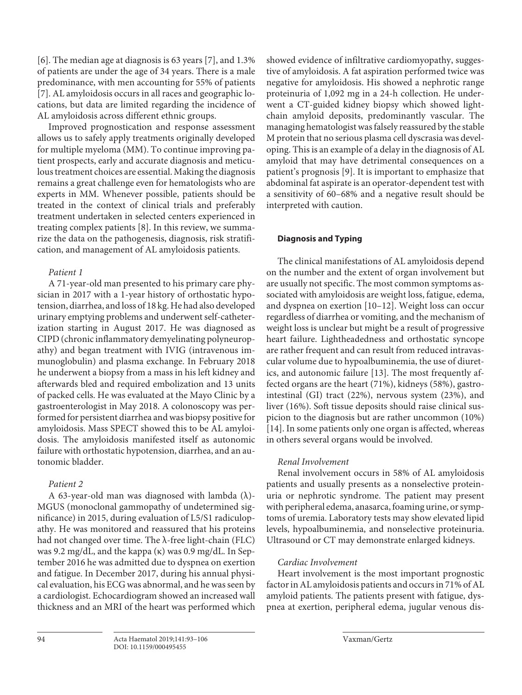<span id="page-1-0"></span>[\[6\]](#page-11-4). The median age at diagnosis is 63 years [\[7](#page-11-5)], and 1.3% of patients are under the age of 34 years. There is a male predominance, with men accounting for 55% of patients [\[7\]](#page-11-5). AL amyloidosis occurs in all races and geographic locations, but data are limited regarding the incidence of AL amyloidosis across different ethnic groups.

Improved prognostication and response assessment allows us to safely apply treatments originally developed for multiple myeloma (MM). To continue improving patient prospects, early and accurate diagnosis and meticulous treatment choices are essential. Making the diagnosis remains a great challenge even for hematologists who are experts in MM. Whenever possible, patients should be treated in the context of clinical trials and preferably treatment undertaken in selected centers experienced in treating complex patients [[8](#page-11-6)]. In this review, we summarize the data on the pathogenesis, diagnosis, risk stratification, and management of AL amyloidosis patients.

# <span id="page-1-1"></span>*Patient 1*

A 71-year-old man presented to his primary care physician in 2017 with a 1-year history of orthostatic hypotension, diarrhea, and loss of 18 kg. He had also developed urinary emptying problems and underwent self-catheterization starting in August 2017. He was diagnosed as CIPD (chronic inflammatory demyelinating polyneuropathy) and began treatment with IVIG (intravenous immunoglobulin) and plasma exchange. In February 2018 he underwent a biopsy from a mass in his left kidney and afterwards bled and required embolization and 13 units of packed cells. He was evaluated at the Mayo Clinic by a gastroenterologist in May 2018. A colonoscopy was performed for persistent diarrhea and was biopsy positive for amyloidosis. Mass SPECT showed this to be AL amyloidosis. The amyloidosis manifested itself as autonomic failure with orthostatic hypotension, diarrhea, and an autonomic bladder.

# *Patient 2*

A 63-year-old man was diagnosed with lambda (λ)- MGUS (monoclonal gammopathy of undetermined significance) in 2015, during evaluation of L5/S1 radiculopathy. He was monitored and reassured that his proteins had not changed over time. The λ-free light-chain (FLC) was 9.2 mg/dL, and the kappa (κ) was 0.9 mg/dL. In September 2016 he was admitted due to dyspnea on exertion and fatigue. In December 2017, during his annual physical evaluation, his ECG was abnormal, and he was seen by a cardiologist. Echocardiogram showed an increased wall thickness and an MRI of the heart was performed which

showed evidence of infiltrative cardiomyopathy, suggestive of amyloidosis. A fat aspiration performed twice was negative for amyloidosis. His showed a nephrotic range proteinuria of 1,092 mg in a 24-h collection. He underwent a CT-guided kidney biopsy which showed lightchain amyloid deposits, predominantly vascular. The managing hematologist was falsely reassured by the stable M protein that no serious plasma cell dyscrasia was developing. This is an example of a delay in the diagnosis of AL amyloid that may have detrimental consequences on a patient's prognosis [[9\]](#page-11-7). It is important to emphasize that abdominal fat aspirate is an operator-dependent test with a sensitivity of 60–68% and a negative result should be interpreted with caution.

# <span id="page-1-2"></span>**Diagnosis and Typing**

<span id="page-1-3"></span>The clinical manifestations of AL amyloidosis depend on the number and the extent of organ involvement but are usually not specific. The most common symptoms associated with amyloidosis are weight loss, fatigue, edema, and dyspnea on exertion [\[10](#page-11-0)–[1](#page-11-0)[2](#page-11-8)]. Weight loss can occur regardless of diarrhea or vomiting, and the mechanism of weight loss is unclear but might be a result of progressive heart failure. Lightheadedness and orthostatic syncope are rather frequent and can result from reduced intravascular volume due to hypoalbuminemia, the use of diuretics, and autonomic failure [\[1](#page-11-0)[3\]](#page-11-1). The most frequently affected organs are the heart (71%), kidneys (58%), gastrointestinal (GI) tract (22%), nervous system (23%), and liver (16%). Soft tissue deposits should raise clinical suspicion to the diagnosis but are rather uncommon (10%) [[1](#page-11-0)[4](#page-11-2)]. In some patients only one organ is affected, whereas in others several organs would be involved.

# <span id="page-1-5"></span><span id="page-1-4"></span>*Renal Involvement*

Renal involvement occurs in 58% of AL amyloidosis patients and usually presents as a nonselective proteinuria or nephrotic syndrome. The patient may present with peripheral edema, anasarca, foaming urine, or symptoms of uremia. Laboratory tests may show elevated lipid levels, hypoalbuminemia, and nonselective proteinuria. Ultrasound or CT may demonstrate enlarged kidneys.

# *Cardiac Involvement*

Heart involvement is the most important prognostic factor in AL amyloidosis patients and occurs in 71% of AL amyloid patients. The patients present with fatigue, dyspnea at exertion, peripheral edema, jugular venous dis-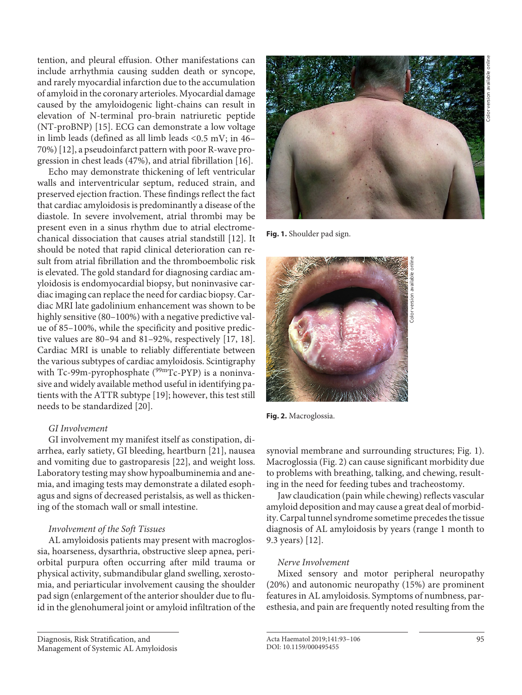tention, and pleural effusion. Other manifestations can include arrhythmia causing sudden death or syncope, and rarely myocardial infarction due to the accumulation of amyloid in the coronary arterioles. Myocardial damage caused by the amyloidogenic light-chains can result in elevation of N-terminal pro-brain natriuretic peptide (NT-proBNP) [\[1](#page-11-0)[5\]](#page-11-3). ECG can demonstrate a low voltage in limb leads (defined as all limb leads <0.5 mV; in 46– 70%) [[1](#page-11-0)[2](#page-11-8)], a pseudoinfarct pattern with poor R-wave progression in chest leads (47%), and atrial fibrillation [\[1](#page-11-0)[6\]](#page-11-4).

<span id="page-2-1"></span><span id="page-2-0"></span>Echo may demonstrate thickening of left ventricular walls and interventricular septum, reduced strain, and preserved ejection fraction. These findings reflect the fact that cardiac amyloidosis is predominantly a disease of the diastole. In severe involvement, atrial thrombi may be present even in a sinus rhythm due to atrial electromechanical dissociation that causes atrial standstill [[1](#page-11-0)[2\]](#page-11-8). It should be noted that rapid clinical deterioration can result from atrial fibrillation and the thromboembolic risk is elevated. The gold standard for diagnosing cardiac amyloidosis is endomyocardial biopsy, but noninvasive cardiac imaging can replace the need for cardiac biopsy. Cardiac MRI late gadolinium enhancement was shown to be highly sensitive (80-100%) with a negative predictive value of 85–100%, while the specificity and positive predictive values are 80–94 and 81–92%, respectively [\[1](#page-11-0)[7,](#page-11-5) [1](#page-11-0)[8\]](#page-11-6). Cardiac MRI is unable to reliably differentiate between the various subtypes of cardiac amyloidosis. Scintigraphy with Tc-99m-pyrophosphate ( $99mTc-PyP$ ) is a noninvasive and widely available method useful in identifying patients with the ATTR subtype [[1](#page-11-0)[9](#page-11-7)]; however, this test still needs to be standardized [[20](#page-11-8)].

## <span id="page-2-4"></span><span id="page-2-3"></span><span id="page-2-2"></span>*GI Involvement*

<span id="page-2-6"></span><span id="page-2-5"></span>GI involvement my manifest itself as constipation, diarrhea, early satiety, GI bleeding, heartburn [\[2](#page-11-8)[1](#page-11-0)], nausea and vomiting due to gastroparesis [\[22](#page-11-8)], and weight loss. Laboratory testing may show hypoalbuminemia and anemia, and imaging tests may demonstrate a dilated esophagus and signs of decreased peristalsis, as well as thickening of the stomach wall or small intestine.

## *Involvement of the Soft Tissues*

AL amyloidosis patients may present with macroglossia, hoarseness, dysarthria, obstructive sleep apnea, periorbital purpura often occurring after mild trauma or physical activity, submandibular gland swelling, xerostomia, and periarticular involvement causing the shoulder pad sign (enlargement of the anterior shoulder due to fluid in the glenohumeral joint or amyloid infiltration of the



**Fig. 1.** Shoulder pad sign.



**Fig. 2.** Macroglossia.

synovial membrane and surrounding structures; Fig. 1). Macroglossia (Fig. 2) can cause significant morbidity due to problems with breathing, talking, and chewing, resulting in the need for feeding tubes and tracheostomy.

Jaw claudication (pain while chewing) reflects vascular amyloid deposition and may cause a great deal of morbidity. Carpal tunnel syndrome sometime precedes the tissue diagnosis of AL amyloidosis by years (range 1 month to 9.3 years) [\[1](#page-11-0)[2\]](#page-11-8).

## *Nerve Involvement*

Mixed sensory and motor peripheral neuropathy (20%) and autonomic neuropathy (15%) are prominent features in AL amyloidosis. Symptoms of numbness, paresthesia, and pain are frequently noted resulting from the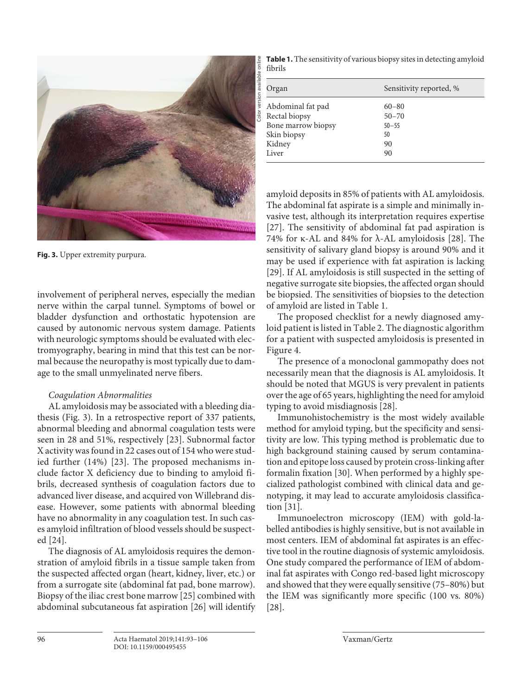

**Fig. 3.** Upper extremity purpura.

involvement of peripheral nerves, especially the median nerve within the carpal tunnel. Symptoms of bowel or bladder dysfunction and orthostatic hypotension are caused by autonomic nervous system damage. Patients with neurologic symptoms should be evaluated with electromyography, bearing in mind that this test can be normal because the neuropathy is most typically due to damage to the small unmyelinated nerve fibers.

## *Coagulation Abnormalities*

<span id="page-3-0"></span>AL amyloidosis may be associated with a bleeding diathesis (Fig. 3). In a retrospective report of 337 patients, abnormal bleeding and abnormal coagulation tests were seen in 28 and 51%, respectively [\[2](#page-11-8)[3](#page-11-1)]. Subnormal factor X activity was found in 22 cases out of 154 who were studied further (14%) [\[2](#page-11-8)[3\]](#page-11-1). The proposed mechanisms include factor X deficiency due to binding to amyloid fibrils, decreased synthesis of coagulation factors due to advanced liver disease, and acquired von Willebrand disease. However, some patients with abnormal bleeding have no abnormality in any coagulation test. In such cases amyloid infiltration of blood vessels should be suspected [\[2](#page-11-8)[4\]](#page-11-2).

<span id="page-3-3"></span><span id="page-3-2"></span><span id="page-3-1"></span>The diagnosis of AL amyloidosis requires the demonstration of amyloid fibrils in a tissue sample taken from the suspected affected organ (heart, kidney, liver, etc.) or from a surrogate site (abdominal fat pad, bone marrow). Biopsy of the iliac crest bone marrow [[2](#page-11-8)[5](#page-11-3)] combined with abdominal subcutaneous fat aspiration [\[2](#page-11-8)[6\]](#page-11-4) will identify

**Table 1.** The sensitivity of various biopsy sites in detecting amyloid fibrils

| Organ              | Sensitivity reported, % |
|--------------------|-------------------------|
| Abdominal fat pad  | $60 - 80$               |
| Rectal biopsy      | $50 - 70$               |
| Bone marrow biopsy | $50 - 55$               |
| Skin biopsy        | 50                      |
| Kidney             | 90                      |
| Liver              | 90                      |

<span id="page-3-5"></span><span id="page-3-4"></span>amyloid deposits in 85% of patients with AL amyloidosis. The abdominal fat aspirate is a simple and minimally invasive test, although its interpretation requires expertise [[2](#page-11-8)[7](#page-11-5)]. The sensitivity of abdominal fat pad aspiration is 74% for κ-AL and 84% for  $\lambda$ -AL amyloidosis [\[2](#page-11-8)[8\]](#page-11-6). The sensitivity of salivary gland biopsy is around 90% and it may be used if experience with fat aspiration is lacking [[2](#page-11-8)[9](#page-11-7)]. If AL amyloidosis is still suspected in the setting of negative surrogate site biopsies, the affected organ should be biopsied. The sensitivities of biopsies to the detection of amyloid are listed in Table 1.

<span id="page-3-6"></span>The proposed checklist for a newly diagnosed amyloid patient is listed in Table 2. The diagnostic algorithm for a patient with suspected amyloidosis is presented in Figure 4.

The presence of a monoclonal gammopathy does not necessarily mean that the diagnosis is AL amyloidosis. It should be noted that MGUS is very prevalent in patients over the age of 65 years, highlighting the need for amyloid typing to avoid misdiagnosis [[2](#page-11-8)[8](#page-11-6)].

Immunohistochemistry is the most widely available method for amyloid typing, but the specificity and sensitivity are low. This typing method is problematic due to high background staining caused by serum contamination and epitope loss caused by protein cross-linking after formalin fixation [\[30](#page-11-1)]. When performed by a highly specialized pathologist combined with clinical data and genotyping, it may lead to accurate amyloidosis classification [\[3](#page-11-1)[1\]](#page-11-0).

<span id="page-3-8"></span><span id="page-3-7"></span>Immunoelectron microscopy (IEM) with gold-labelled antibodies is highly sensitive, but is not available in most centers. IEM of abdominal fat aspirates is an effective tool in the routine diagnosis of systemic amyloidosis. One study compared the performance of IEM of abdominal fat aspirates with Congo red-based light microscopy and showed that they were equally sensitive (75–80%) but the IEM was significantly more specific (100 vs. 80%) [[2](#page-11-8)[8](#page-11-6)].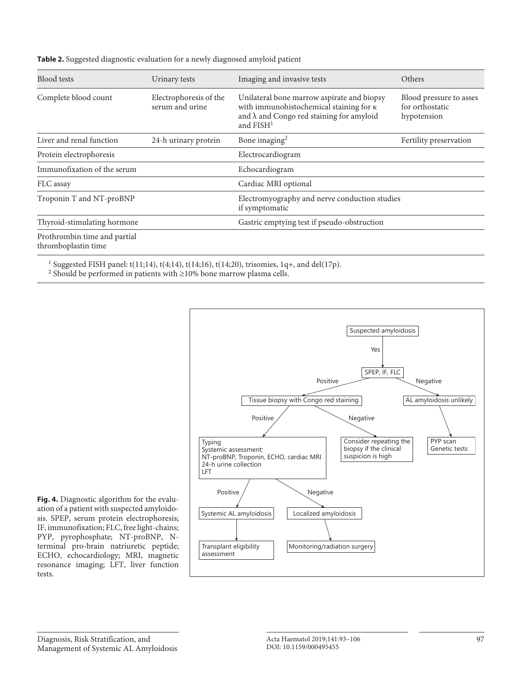| <b>Blood</b> tests                                  | Urinary tests                             | Imaging and invasive tests                                                                                                                                                | Others                                                    |
|-----------------------------------------------------|-------------------------------------------|---------------------------------------------------------------------------------------------------------------------------------------------------------------------------|-----------------------------------------------------------|
| Complete blood count                                | Electrophoresis of the<br>serum and urine | Unilateral bone marrow aspirate and biopsy<br>with immunohistochemical staining for <b>K</b><br>and $\lambda$ and Congo red staining for amyloid<br>and FISH <sup>1</sup> | Blood pressure to asses<br>for orthostatic<br>hypotension |
| Liver and renal function                            | 24-h urinary protein                      | Bone imaging $2$                                                                                                                                                          | Fertility preservation                                    |
| Protein electrophoresis                             |                                           | Electrocardiogram                                                                                                                                                         |                                                           |
| Immunofixation of the serum                         |                                           | Echocardiogram                                                                                                                                                            |                                                           |
| FLC assay                                           |                                           | Cardiac MRI optional                                                                                                                                                      |                                                           |
| Troponin T and NT-proBNP                            |                                           | Electromyography and nerve conduction studies<br>if symptomatic                                                                                                           |                                                           |
| Thyroid-stimulating hormone                         |                                           | Gastric emptying test if pseudo-obstruction                                                                                                                               |                                                           |
| Prothrombin time and partial<br>thromboplastin time |                                           |                                                                                                                                                                           |                                                           |

**Table 2.** Suggested diagnostic evaluation for a newly diagnosed amyloid patient

<sup>1</sup> Suggested FISH panel: t(11;14), t(4;14), t(14;16), t(14;20), trisomies, 1q+, and del(17p).

<sup>2</sup> Should be performed in patients with  $\geq$ 10% bone marrow plasma cells.



**Fig. 4.** Diagnostic algorithm for the evaluation of a patient with suspected amyloidosis. SPEP, serum protein electrophoresis; IF, immunofixation; FLC, free light-chains; PYP, pyrophosphate; NT-proBNP, Nterminal pro-brain natriuretic peptide; ECHO, echocardiology; MRI, magnetic resonance imaging; LFT, liver function tests.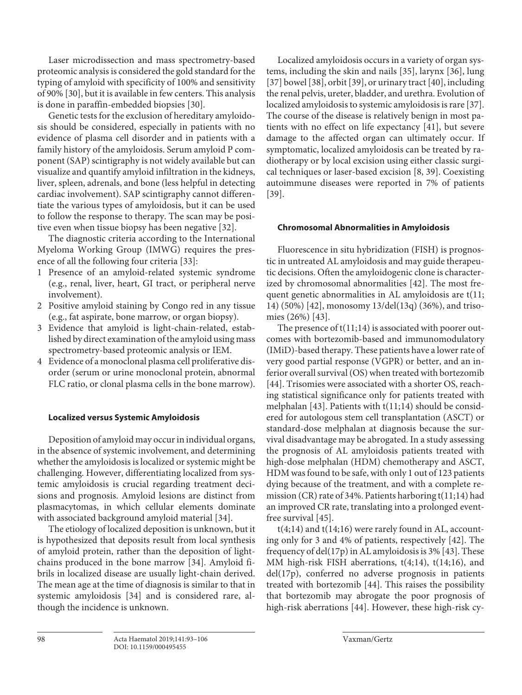Laser microdissection and mass spectrometry-based proteomic analysis is considered the gold standard for the typing of amyloid with specificity of 100% and sensitivity of 90% [[3](#page-11-1)0], but it is available in few centers. This analysis is done in paraffin-embedded biopsies [\[30](#page-11-1)].

Genetic tests for the exclusion of hereditary amyloidosis should be considered, especially in patients with no evidence of plasma cell disorder and in patients with a family history of the amyloidosis. Serum amyloid P component (SAP) scintigraphy is not widely available but can visualize and quantify amyloid infiltration in the kidneys, liver, spleen, adrenals, and bone (less helpful in detecting cardiac involvement). SAP scintigraphy cannot differentiate the various types of amyloidosis, but it can be used to follow the response to therapy. The scan may be positive even when tissue biopsy has been negative [\[3](#page-11-1)[2\]](#page-11-8).

<span id="page-5-0"></span>The diagnostic criteria according to the International Myeloma Working Group (IMWG) requires the presence of all the following four criteria [\[33\]](#page-11-1):

- <span id="page-5-1"></span>1 Presence of an amyloid-related systemic syndrome (e.g., renal, liver, heart, GI tract, or peripheral nerve involvement).
- 2 Positive amyloid staining by Congo red in any tissue (e.g., fat aspirate, bone marrow, or organ biopsy).
- 3 Evidence that amyloid is light-chain-related, established by direct examination of the amyloid using mass spectrometry-based proteomic analysis or IEM.
- 4 Evidence of a monoclonal plasma cell proliferative disorder (serum or urine monoclonal protein, abnormal FLC ratio, or clonal plasma cells in the bone marrow).

## **Localized versus Systemic Amyloidosis**

Deposition of amyloid may occur in individual organs, in the absence of systemic involvement, and determining whether the amyloidosis is localized or systemic might be challenging. However, differentiating localized from systemic amyloidosis is crucial regarding treatment decisions and prognosis. Amyloid lesions are distinct from plasmacytomas, in which cellular elements dominate with associated background amyloid material [[3](#page-11-1)[4](#page-11-2)].

<span id="page-5-2"></span>The etiology of localized deposition is unknown, but it is hypothesized that deposits result from local synthesis of amyloid protein, rather than the deposition of lightchains produced in the bone marrow [\[3](#page-11-1)[4\]](#page-11-2). Amyloid fibrils in localized disease are usually light-chain derived. The mean age at the time of diagnosis is similar to that in systemic amyloidosis [\[3](#page-11-1)[4\]](#page-11-2) and is considered rare, although the incidence is unknown.

<span id="page-5-9"></span><span id="page-5-8"></span><span id="page-5-7"></span><span id="page-5-6"></span><span id="page-5-5"></span><span id="page-5-4"></span><span id="page-5-3"></span>Localized amyloidosis occurs in a variety of organ systems, including the skin and nails [\[3](#page-11-1)[5\]](#page-11-3), larynx [\[3](#page-11-1)[6\]](#page-11-4), lung [[3](#page-11-1)[7](#page-11-5)] bowel [3[8](#page-11-6)], orbit [\[3](#page-11-1)[9\]](#page-11-7), or urinary tract [[4](#page-11-2)0], including the renal pelvis, ureter, bladder, and urethra. Evolution of localized amyloidosis to systemic amyloidosis is rare [[3](#page-11-1)[7](#page-11-5)]. The course of the disease is relatively benign in most patients with no effect on life expectancy [[4](#page-11-2)[1](#page-11-0)], but severe damage to the affected organ can ultimately occur. If symptomatic, localized amyloidosis can be treated by radiotherapy or by local excision using either classic surgical techniques or laser-based excision [[8,](#page-11-6) [3](#page-11-1)[9\]](#page-11-7). Coexisting autoimmune diseases were reported in 7% of patients [[3](#page-11-1)[9](#page-11-7)].

# **Chromosomal Abnormalities in Amyloidosis**

<span id="page-5-10"></span>Fluorescence in situ hybridization (FISH) is prognostic in untreated AL amyloidosis and may guide therapeutic decisions. Often the amyloidogenic clone is characterized by chromosomal abnormalities [\[4](#page-11-2)[2\]](#page-11-8). The most frequent genetic abnormalities in AL amyloidosis are t(11; 14) (50%) [\[4](#page-11-2)[2\]](#page-11-8), monosomy 13/del(13q) (36%), and trisomies (26%) [[4](#page-11-2)[3\]](#page-11-1).

<span id="page-5-12"></span><span id="page-5-11"></span>The presence of  $t(11;14)$  is associated with poorer outcomes with bortezomib-based and immunomodulatory (IMiD)-based therapy. These patients have a lower rate of very good partial response (VGPR) or better, and an inferior overall survival (OS) when treated with bortezomib [[44](#page-11-2)]. Trisomies were associated with a shorter OS, reaching statistical significance only for patients treated with melphalan [[4](#page-11-2)[3\]](#page-11-1). Patients with t(11;14) should be considered for autologous stem cell transplantation (ASCT) or standard-dose melphalan at diagnosis because the survival disadvantage may be abrogated. In a study assessing the prognosis of AL amyloidosis patients treated with high-dose melphalan (HDM) chemotherapy and ASCT, HDM was found to be safe, with only 1 out of 123 patients dying because of the treatment, and with a complete remission (CR) rate of 34%. Patients harboring t(11;14) had an improved CR rate, translating into a prolonged eventfree survival [\[4](#page-11-2)[5\]](#page-11-3).

<span id="page-5-13"></span> $t(4;14)$  and  $t(14;16)$  were rarely found in AL, accounting only for 3 and 4% of patients, respectively [[4](#page-11-2)[2](#page-11-8)]. The frequency of del(17p) in AL amyloidosis is 3% [[4](#page-11-2)[3\]](#page-11-1). These MM high-risk FISH aberrations, t(4;14), t(14;16), and del(17p), conferred no adverse prognosis in patients treated with bortezomib [\[44\]](#page-11-2). This raises the possibility that bortezomib may abrogate the poor prognosis of high-risk aberrations [\[44\]](#page-11-2). However, these high-risk cy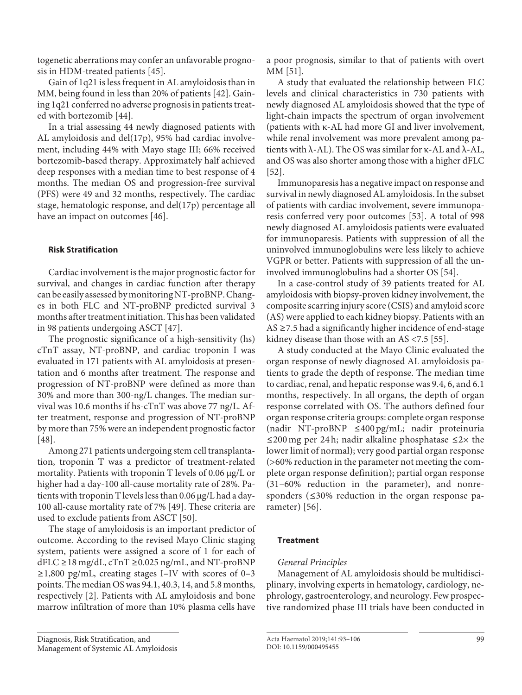togenetic aberrations may confer an unfavorable prognosis in HDM-treated patients [\[4](#page-11-2)[5\]](#page-11-3).

Gain of 1q21 is less frequent in AL amyloidosis than in MM, being found in less than 20% of patients [[4](#page-11-2)[2](#page-11-8)]. Gaining 1q21 conferred no adverse prognosis in patients treated with bortezomib [\[44\]](#page-11-2).

In a trial assessing 44 newly diagnosed patients with AL amyloidosis and del(17p), 95% had cardiac involvement, including 44% with Mayo stage III; 66% received bortezomib-based therapy. Approximately half achieved deep responses with a median time to best response of 4 months. The median OS and progression-free survival (PFS) were 49 and 32 months, respectively. The cardiac stage, hematologic response, and del(17p) percentage all have an impact on outcomes [\[4](#page-11-2)[6\]](#page-11-4).

# <span id="page-6-0"></span>**Risk Stratification**

Cardiac involvement is the major prognostic factor for survival, and changes in cardiac function after therapy can be easily assessed by monitoring NT-proBNP. Changes in both FLC and NT-proBNP predicted survival 3 months after treatment initiation. This has been validated in 98 patients undergoing ASCT [[4](#page-11-2)[7](#page-11-5)].

<span id="page-6-1"></span>The prognostic significance of a high-sensitivity (hs) cTnT assay, NT-proBNP, and cardiac troponin I was evaluated in 171 patients with AL amyloidosis at presentation and 6 months after treatment. The response and progression of NT-proBNP were defined as more than 30% and more than 300-ng/L changes. The median survival was 10.6 months if hs-cTnT was above 77 ng/L. After treatment, response and progression of NT-proBNP by more than 75% were an independent prognostic factor [\[4](#page-11-2)[8\]](#page-11-6).

<span id="page-6-2"></span>Among 271 patients undergoing stem cell transplantation, troponin T was a predictor of treatment-related mortality. Patients with troponin T levels of 0.06 μg/L or higher had a day-100 all-cause mortality rate of 28%. Patients with troponin T levels less than 0.06 μg/L had a day-100 all-cause mortality rate of 7% [[4](#page-11-2)[9](#page-11-7)]. These criteria are used to exclude patients from ASCT [\[5](#page-11-3)0].

<span id="page-6-4"></span><span id="page-6-3"></span>The stage of amyloidosis is an important predictor of outcome. According to the revised Mayo Clinic staging system, patients were assigned a score of 1 for each of dFLC ≥18 mg/dL, cTnT ≥0.025 ng/mL, and NT-proBNP  $\geq$ 1,800 pg/mL, creating stages I–IV with scores of 0–3 points. The median OS was 94.1, 40.3, 14, and 5.8 months, respectively [\[2](#page-11-8)]. Patients with AL amyloidosis and bone marrow infiltration of more than 10% plasma cells have

<span id="page-6-5"></span>a poor prognosis, similar to that of patients with overt MM [[5](#page-11-3)[1](#page-11-0)].

A study that evaluated the relationship between FLC levels and clinical characteristics in 730 patients with newly diagnosed AL amyloidosis showed that the type of light-chain impacts the spectrum of organ involvement (patients with κ-AL had more GI and liver involvement, while renal involvement was more prevalent among patients with  $λ$ -AL). The OS was similar for  $κ$ -AL and  $λ$ -AL, and OS was also shorter among those with a higher dFLC [[5](#page-11-3)[2](#page-11-8)].

<span id="page-6-7"></span><span id="page-6-6"></span>Immunoparesis has a negative impact on response and survival in newly diagnosed AL amyloidosis. In the subset of patients with cardiac involvement, severe immunoparesis conferred very poor outcomes [\[5](#page-11-3)[3\]](#page-11-1). A total of 998 newly diagnosed AL amyloidosis patients were evaluated for immunoparesis. Patients with suppression of all the uninvolved immunoglobulins were less likely to achieve VGPR or better. Patients with suppression of all the uninvolved immunoglobulins had a shorter OS [\[5](#page-11-3)[4](#page-11-2)].

<span id="page-6-8"></span>In a case-control study of 39 patients treated for AL amyloidosis with biopsy-proven kidney involvement, the composite scarring injury score (CSIS) and amyloid score (AS) were applied to each kidney biopsy. Patients with an AS  $\geq$  7.5 had a significantly higher incidence of end-stage kidney disease than those with an AS <7.5 [\[55\]](#page-11-3).

<span id="page-6-9"></span>A study conducted at the Mayo Clinic evaluated the organ response of newly diagnosed AL amyloidosis patients to grade the depth of response. The median time to cardiac, renal, and hepatic response was 9.4, 6, and 6.1 months, respectively. In all organs, the depth of organ response correlated with OS. The authors defined four organ response criteria groups: complete organ response (nadir NT-proBNP ≤400 pg/mL; nadir proteinuria ≤200 mg per 24 h; nadir alkaline phosphatase  $≤2×$  the lower limit of normal); very good partial organ response (>60% reduction in the parameter not meeting the complete organ response definition); partial organ response (31–60% reduction in the parameter), and nonresponders (≤30% reduction in the organ response parameter) [[5](#page-11-3)[6\]](#page-11-4).

# <span id="page-6-10"></span>**Treatment**

# *General Principles*

Management of AL amyloidosis should be multidisciplinary, involving experts in hematology, cardiology, nephrology, gastroenterology, and neurology. Few prospective randomized phase III trials have been conducted in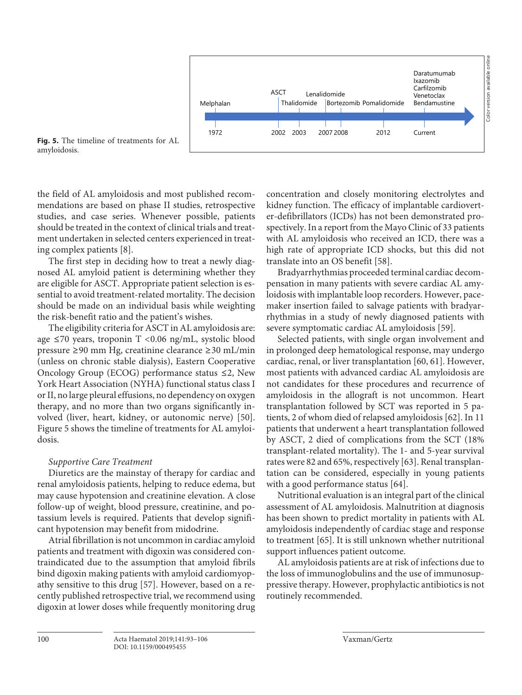

**Fig. 5.** The timeline of treatments for AL amyloidosis.

the field of AL amyloidosis and most published recommendations are based on phase II studies, retrospective studies, and case series. Whenever possible, patients should be treated in the context of clinical trials and treatment undertaken in selected centers experienced in treating complex patients [[8\]](#page-11-6).

The first step in deciding how to treat a newly diagnosed AL amyloid patient is determining whether they are eligible for ASCT. Appropriate patient selection is essential to avoid treatment-related mortality. The decision should be made on an individual basis while weighting the risk-benefit ratio and the patient's wishes.

The eligibility criteria for ASCT in AL amyloidosis are: age ≤70 years, troponin T <0.06 ng/mL, systolic blood pressure ≥90 mm Hg, creatinine clearance ≥30 mL/min (unless on chronic stable dialysis), Eastern Cooperative Oncology Group (ECOG) performance status  $\leq$ 2, New York Heart Association (NYHA) functional status class I or II, no large pleural effusions, no dependency on oxygen therapy, and no more than two organs significantly involved (liver, heart, kidney, or autonomic nerve) [\[50](#page-11-3)]. Figure 5 shows the timeline of treatments for AL amyloidosis.

#### *Supportive Care Treatment*

Diuretics are the mainstay of therapy for cardiac and renal amyloidosis patients, helping to reduce edema, but may cause hypotension and creatinine elevation. A close follow-up of weight, blood pressure, creatinine, and potassium levels is required. Patients that develop significant hypotension may benefit from midodrine.

<span id="page-7-0"></span>Atrial fibrillation is not uncommon in cardiac amyloid patients and treatment with digoxin was considered contraindicated due to the assumption that amyloid fibrils bind digoxin making patients with amyloid cardiomyopathy sensitive to this drug [\[5](#page-11-3)[7](#page-11-5)]. However, based on a recently published retrospective trial, we recommend using digoxin at lower doses while frequently monitoring drug concentration and closely monitoring electrolytes and kidney function. The efficacy of implantable cardioverter-defibrillators (ICDs) has not been demonstrated prospectively. In a report from the Mayo Clinic of 33 patients with AL amyloidosis who received an ICD, there was a high rate of appropriate ICD shocks, but this did not translate into an OS benefit [[5](#page-11-3)[8\]](#page-11-6).

<span id="page-7-1"></span>Bradyarrhythmias proceeded terminal cardiac decompensation in many patients with severe cardiac AL amyloidosis with implantable loop recorders. However, pacemaker insertion failed to salvage patients with bradyarrhythmias in a study of newly diagnosed patients with severe symptomatic cardiac AL amyloidosis [\[5](#page-11-3)[9\]](#page-11-7).

<span id="page-7-4"></span><span id="page-7-3"></span><span id="page-7-2"></span>Selected patients, with single organ involvement and in prolonged deep hematological response, may undergo cardiac, renal, or liver transplantation [[60](#page-11-4), [6](#page-11-4)[1\]](#page-11-0). However, most patients with advanced cardiac AL amyloidosis are not candidates for these procedures and recurrence of amyloidosis in the allograft is not uncommon. Heart transplantation followed by SCT was reported in 5 patients, 2 of whom died of relapsed amyloidosis [\[6](#page-11-4)[2\]](#page-11-8). In 11 patients that underwent a heart transplantation followed by ASCT, 2 died of complications from the SCT (18% transplant-related mortality). The 1- and 5-year survival rates were 82 and 65%, respectively [\[6](#page-11-4)[3\]](#page-11-1). Renal transplantation can be considered, especially in young patients with a good performance status [\[6](#page-11-4)[4\]](#page-11-2).

<span id="page-7-6"></span><span id="page-7-5"></span>Nutritional evaluation is an integral part of the clinical assessment of AL amyloidosis. Malnutrition at diagnosis has been shown to predict mortality in patients with AL amyloidosis independently of cardiac stage and response to treatment [[6](#page-11-4)[5\]](#page-11-3). It is still unknown whether nutritional support influences patient outcome.

<span id="page-7-7"></span>AL amyloidosis patients are at risk of infections due to the loss of immunoglobulins and the use of immunosuppressive therapy. However, prophylactic antibiotics is not routinely recommended.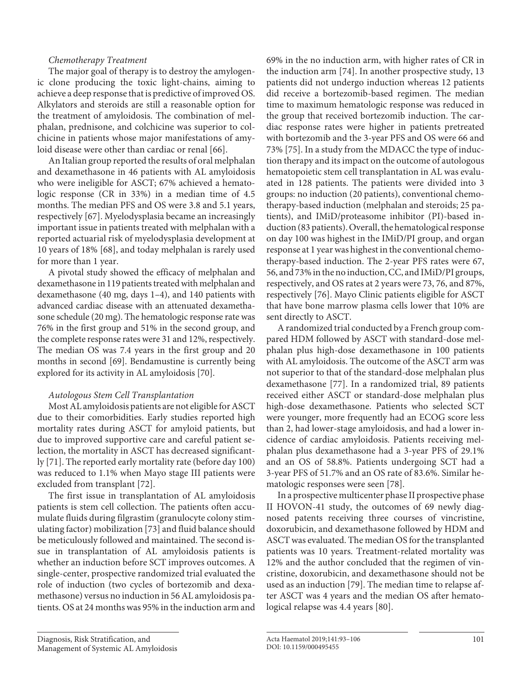# *Chemotherapy Treatment*

The major goal of therapy is to destroy the amylogenic clone producing the toxic light-chains, aiming to achieve a deep response that is predictive of improved OS. Alkylators and steroids are still a reasonable option for the treatment of amyloidosis. The combination of melphalan, prednisone, and colchicine was superior to colchicine in patients whose major manifestations of amy-loid disease were other than cardiac or renal [[66\]](#page-11-4).

<span id="page-8-1"></span><span id="page-8-0"></span>An Italian group reported the results of oral melphalan and dexamethasone in 46 patients with AL amyloidosis who were ineligible for ASCT; 67% achieved a hematologic response (CR in 33%) in a median time of 4.5 months. The median PFS and OS were 3.8 and 5.1 years, respectively [\[6](#page-11-4)[7\]](#page-11-5). Myelodysplasia became an increasingly important issue in patients treated with melphalan with a reported actuarial risk of myelodysplasia development at 10 years of 18% [[6](#page-11-4)[8](#page-11-6)], and today melphalan is rarely used for more than 1 year.

<span id="page-8-2"></span>A pivotal study showed the efficacy of melphalan and dexamethasone in 119 patients treated with melphalan and dexamethasone (40 mg, days 1–4), and 140 patients with advanced cardiac disease with an attenuated dexamethasone schedule (20 mg). The hematologic response rate was 76% in the first group and 51% in the second group, and the complete response rates were 31 and 12%, respectively. The median OS was 7.4 years in the first group and 20 months in second [[6](#page-11-4)[9\]](#page-11-7). Bendamustine is currently being explored for its activity in AL amyloidosis [[70](#page-11-5)].

## <span id="page-8-4"></span><span id="page-8-3"></span>*Autologous Stem Cell Transplantation*

Most AL amyloidosis patients are not eligible for ASCT due to their comorbidities. Early studies reported high mortality rates during ASCT for amyloid patients, but due to improved supportive care and careful patient selection, the mortality in ASCT has decreased significantly [\[7](#page-11-5)[1\]](#page-11-0). The reported early mortality rate (before day 100) was reduced to 1.1% when Mayo stage III patients were excluded from transplant [\[7](#page-11-5)[2\]](#page-11-8).

<span id="page-8-7"></span><span id="page-8-6"></span><span id="page-8-5"></span>The first issue in transplantation of AL amyloidosis patients is stem cell collection. The patients often accumulate fluids during filgrastim (granulocyte colony stimulating factor) mobilization [[7](#page-11-5)[3](#page-11-1)] and fluid balance should be meticulously followed and maintained. The second issue in transplantation of AL amyloidosis patients is whether an induction before SCT improves outcomes. A single-center, prospective randomized trial evaluated the role of induction (two cycles of bortezomib and dexamethasone) versus no induction in 56 AL amyloidosis patients. OS at 24 months was 95% in the induction arm and

<span id="page-8-9"></span><span id="page-8-8"></span>69% in the no induction arm, with higher rates of CR in the induction arm [[7](#page-11-5)[4](#page-11-2)]. In another prospective study, 13 patients did not undergo induction whereas 12 patients did receive a bortezomib-based regimen. The median time to maximum hematologic response was reduced in the group that received bortezomib induction. The cardiac response rates were higher in patients pretreated with bortezomib and the 3-year PFS and OS were 66 and 73% [[7](#page-11-5)[5](#page-11-3)]. In a study from the MDACC the type of induction therapy and its impact on the outcome of autologous hematopoietic stem cell transplantation in AL was evaluated in 128 patients. The patients were divided into 3 groups: no induction (20 patients), conventional chemotherapy-based induction (melphalan and steroids; 25 patients), and IMiD/proteasome inhibitor (PI)-based induction (83 patients). Overall, the hematological response on day 100 was highest in the IMiD/PI group, and organ response at 1 year was highest in the conventional chemotherapy-based induction. The 2-year PFS rates were 67, 56, and 73% in the no induction, CC, and IMiD/PI groups, respectively, and OS rates at 2 years were 73, 76, and 87%, respectively [\[7](#page-11-5)[6\]](#page-11-4). Mayo Clinic patients eligible for ASCT that have bone marrow plasma cells lower that 10% are sent directly to ASCT.

<span id="page-8-11"></span><span id="page-8-10"></span>A randomized trial conducted by a French group compared HDM followed by ASCT with standard-dose melphalan plus high-dose dexamethasone in 100 patients with AL amyloidosis. The outcome of the ASCT arm was not superior to that of the standard-dose melphalan plus dexamethasone [\[77\]](#page-11-5). In a randomized trial, 89 patients received either ASCT or standard-dose melphalan plus high-dose dexamethasone. Patients who selected SCT were younger, more frequently had an ECOG score less than 2, had lower-stage amyloidosis, and had a lower incidence of cardiac amyloidosis. Patients receiving melphalan plus dexamethasone had a 3-year PFS of 29.1% and an OS of 58.8%. Patients undergoing SCT had a 3-year PFS of 51.7% and an OS rate of 83.6%. Similar hematologic responses were seen [\[7](#page-11-5)[8\]](#page-11-6).

<span id="page-8-14"></span><span id="page-8-13"></span><span id="page-8-12"></span>In a prospective multicenter phase II prospective phase II HOVON-41 study, the outcomes of 69 newly diagnosed patents receiving three courses of vincristine, doxorubicin, and dexamethasone followed by HDM and ASCT was evaluated. The median OS for the transplanted patients was 10 years. Treatment-related mortality was 12% and the author concluded that the regimen of vincristine, doxorubicin, and dexamethasone should not be used as an induction [\[7](#page-11-5)[9\]](#page-11-7). The median time to relapse after ASCT was 4 years and the median OS after hematological relapse was 4.4 years [\[8](#page-11-6)0].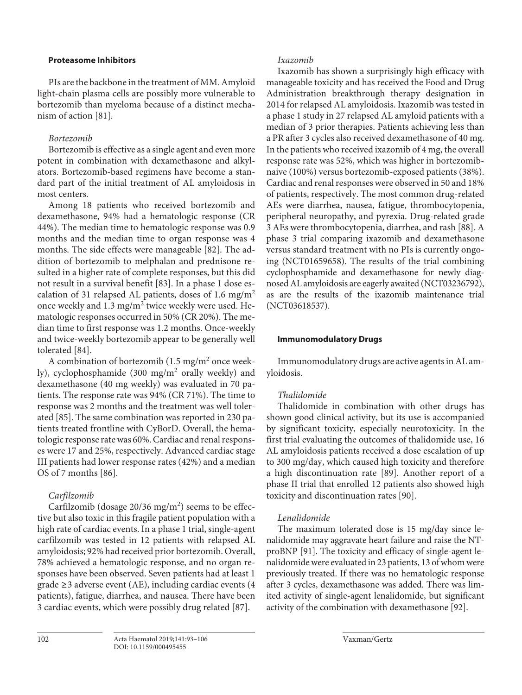## **Proteasome Inhibitors**

PIs are the backbone in the treatment of MM. Amyloid light-chain plasma cells are possibly more vulnerable to bortezomib than myeloma because of a distinct mechanism of action [\[8](#page-11-6)[1\]](#page-11-0).

# <span id="page-9-0"></span>*Bortezomib*

Bortezomib is effective as a single agent and even more potent in combination with dexamethasone and alkylators. Bortezomib-based regimens have become a standard part of the initial treatment of AL amyloidosis in most centers.

<span id="page-9-2"></span><span id="page-9-1"></span>Among 18 patients who received bortezomib and dexamethasone, 94% had a hematologic response (CR 44%). The median time to hematologic response was 0.9 months and the median time to organ response was 4 months. The side effects were manageable [[8](#page-11-6)[2](#page-11-8)]. The addition of bortezomib to melphalan and prednisone resulted in a higher rate of complete responses, but this did not result in a survival benefit [[8](#page-11-6)[3](#page-11-1)]. In a phase 1 dose escalation of 31 relapsed AL patients, doses of 1.6 mg/m<sup>2</sup> once weekly and 1.3 mg/m<sup>2</sup> twice weekly were used. Hematologic responses occurred in 50% (CR 20%). The median time to first response was 1.2 months. Once-weekly and twice-weekly bortezomib appear to be generally well tolerated [[8](#page-11-6)[4\]](#page-11-2).

<span id="page-9-4"></span><span id="page-9-3"></span>A combination of bortezomib (1.5 mg/m<sup>2</sup> once weekly), cyclophosphamide (300 mg/m<sup>2</sup> orally weekly) and dexamethasone (40 mg weekly) was evaluated in 70 patients. The response rate was 94% (CR 71%). The time to response was 2 months and the treatment was well tolerated [\[8](#page-11-6)[5\]](#page-11-3). The same combination was reported in 230 patients treated frontline with CyBorD. Overall, the hematologic response rate was 60%. Cardiac and renal responses were 17 and 25%, respectively. Advanced cardiac stage III patients had lower response rates (42%) and a median OS of 7 months [[8](#page-11-6)[6](#page-11-4)].

# <span id="page-9-5"></span>*Carfilzomib*

<span id="page-9-6"></span>Carfilzomib (dosage  $20/36$  mg/m<sup>2</sup>) seems to be effective but also toxic in this fragile patient population with a high rate of cardiac events. In a phase 1 trial, single-agent carfilzomib was tested in 12 patients with relapsed AL amyloidosis; 92% had received prior bortezomib. Overall, 78% achieved a hematologic response, and no organ responses have been observed. Seven patients had at least 1 grade ≥3 adverse event (AE), including cardiac events (4 patients), fatigue, diarrhea, and nausea. There have been 3 cardiac events, which were possibly drug related [\[8](#page-11-6)[7](#page-11-5)].

# *Ixazomib*

Ixazomib has shown a surprisingly high efficacy with manageable toxicity and has received the Food and Drug Administration breakthrough therapy designation in 2014 for relapsed AL amyloidosis. Ixazomib was tested in a phase 1 study in 27 relapsed AL amyloid patients with a median of 3 prior therapies. Patients achieving less than a PR after 3 cycles also received dexamethasone of 40 mg. In the patients who received ixazomib of 4 mg, the overall response rate was 52%, which was higher in bortezomibnaive (100%) versus bortezomib-exposed patients (38%). Cardiac and renal responses were observed in 50 and 18% of patients, respectively. The most common drug-related AEs were diarrhea, nausea, fatigue, thrombocytopenia, peripheral neuropathy, and pyrexia. Drug-related grade 3 AEs were thrombocytopenia, diarrhea, and rash [\[88\]](#page-11-6). A phase 3 trial comparing ixazomib and dexamethasone versus standard treatment with no PIs is currently ongoing (NCT01659658). The results of the trial combining cyclophosphamide and dexamethasone for newly diagnosed AL amyloidosis are eagerly awaited (NCT03236792), as are the results of the ixazomib maintenance trial (NCT03618537).

# <span id="page-9-7"></span>**Immunomodulatory Drugs**

Immunomodulatory drugs are active agents in AL amyloidosis.

# *Thalidomide*

Thalidomide in combination with other drugs has shown good clinical activity, but its use is accompanied by significant toxicity, especially neurotoxicity. In the first trial evaluating the outcomes of thalidomide use, 16 AL amyloidosis patients received a dose escalation of up to 300 mg/day, which caused high toxicity and therefore a high discontinuation rate [\[8](#page-11-6)[9\]](#page-11-7). Another report of a phase II trial that enrolled 12 patients also showed high toxicity and discontinuation rates [[90](#page-11-7)].

# <span id="page-9-9"></span><span id="page-9-8"></span>*Lenalidomide*

The maximum tolerated dose is 15 mg/day since lenalidomide may aggravate heart failure and raise the NTproBNP [\[9](#page-11-7)[1](#page-11-0)]. The toxicity and efficacy of single-agent lenalidomide were evaluated in 23 patients, 13 of whom were previously treated. If there was no hematologic response after 3 cycles, dexamethasone was added. There was limited activity of single-agent lenalidomide, but significant activity of the combination with dexamethasone [[9](#page-11-7)[2](#page-11-8)].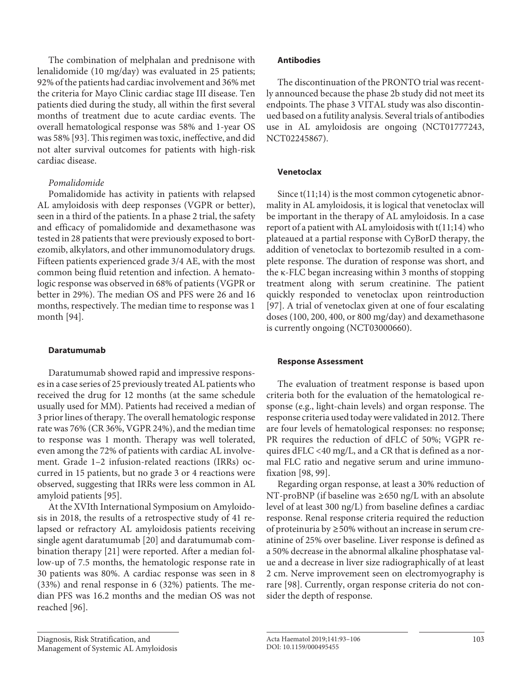The combination of melphalan and prednisone with lenalidomide (10 mg/day) was evaluated in 25 patients; 92% of the patients had cardiac involvement and 36% met the criteria for Mayo Clinic cardiac stage III disease. Ten patients died during the study, all within the first several months of treatment due to acute cardiac events. The overall hematological response was 58% and 1-year OS was 58% [\[9](#page-11-7)[3\]](#page-11-1). This regimen was toxic, ineffective, and did not alter survival outcomes for patients with high-risk cardiac disease.

# *Pomalidomide*

Pomalidomide has activity in patients with relapsed AL amyloidosis with deep responses (VGPR or better), seen in a third of the patients. In a phase 2 trial, the safety and efficacy of pomalidomide and dexamethasone was tested in 28 patients that were previously exposed to bortezomib, alkylators, and other immunomodulatory drugs. Fifteen patients experienced grade 3/4 AE, with the most common being fluid retention and infection. A hematologic response was observed in 68% of patients (VGPR or better in 29%). The median OS and PFS were 26 and 16 months, respectively. The median time to response was 1 month [[9](#page-11-7)[4](#page-11-2)].

## **Daratumumab**

Daratumumab showed rapid and impressive responses in a case series of 25 previously treated AL patients who received the drug for 12 months (at the same schedule usually used for MM). Patients had received a median of 3 prior lines of therapy. The overall hematologic response rate was 76% (CR 36%, VGPR 24%), and the median time to response was 1 month. Therapy was well tolerated, even among the 72% of patients with cardiac AL involvement. Grade 1–2 infusion-related reactions (IRRs) occurred in 15 patients, but no grade 3 or 4 reactions were observed, suggesting that IRRs were less common in AL amyloid patients [\[9](#page-11-7)[5\]](#page-11-3).

At the XVIth International Symposium on Amyloidosis in 2018, the results of a retrospective study of 41 relapsed or refractory AL amyloidosis patients receiving single agent daratumumab [[20](#page-11-8)] and daratumumab combination therapy [[2](#page-11-8)[1](#page-11-0)] were reported. After a median follow-up of 7.5 months, the hematologic response rate in 30 patients was 80%. A cardiac response was seen in 8 (33%) and renal response in 6 (32%) patients. The median PFS was 16.2 months and the median OS was not reached [\[9](#page-11-7)[6\]](#page-11-4).

# **Antibodies**

The discontinuation of the PRONTO trial was recently announced because the phase 2b study did not meet its endpoints. The phase 3 VITAL study was also discontinued based on a futility analysis. Several trials of antibodies use in AL amyloidosis are ongoing (NCT01777243, NCT02245867).

# **Venetoclax**

Since t(11;14) is the most common cytogenetic abnormality in AL amyloidosis, it is logical that venetoclax will be important in the therapy of AL amyloidosis. In a case report of a patient with AL amyloidosis with  $t(11;14)$  who plateaued at a partial response with CyBorD therapy, the addition of venetoclax to bortezomib resulted in a complete response. The duration of response was short, and the κ-FLC began increasing within 3 months of stopping treatment along with serum creatinine. The patient quickly responded to venetoclax upon reintroduction [[9](#page-11-7)[7](#page-11-5)]. A trial of venetoclax given at one of four escalating doses (100, 200, 400, or 800 mg/day) and dexamethasone is currently ongoing (NCT03000660).

## **Response Assessment**

The evaluation of treatment response is based upon criteria both for the evaluation of the hematological response (e.g., light-chain levels) and organ response. The response criteria used today were validated in 2012. There are four levels of hematological responses: no response; PR requires the reduction of dFLC of 50%; VGPR requires dFLC <40 mg/L, and a CR that is defined as a normal FLC ratio and negative serum and urine immunofixation [\[9](#page-11-7)[8](#page-11-6), [99\]](#page-11-7).

Regarding organ response, at least a 30% reduction of NT-proBNP (if baseline was ≥650 ng/L with an absolute level of at least 300 ng/L) from baseline defines a cardiac response. Renal response criteria required the reduction of proteinuria by ≥50% without an increase in serum creatinine of 25% over baseline. Liver response is defined as a 50% decrease in the abnormal alkaline phosphatase value and a decrease in liver size radiographically of at least 2 cm. Nerve improvement seen on electromyography is rare [\[9](#page-11-7)[8\]](#page-11-6). Currently, organ response criteria do not consider the depth of response.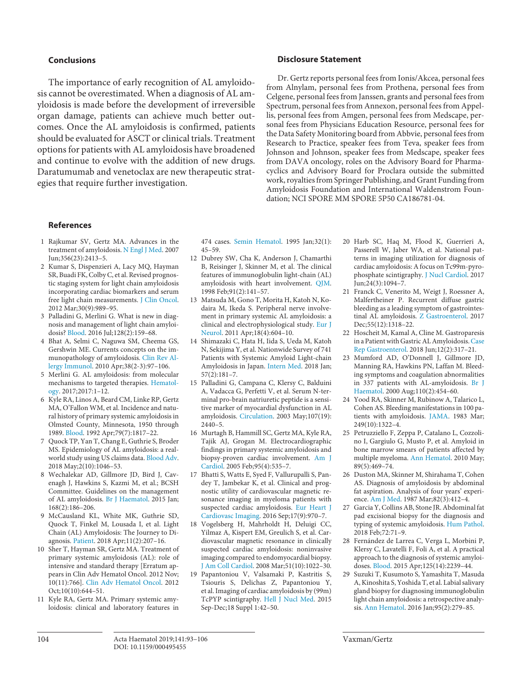#### **Conclusions**

The importance of early recognition of AL amyloidosis cannot be overestimated. When a diagnosis of AL amyloidosis is made before the development of irreversible organ damage, patients can achieve much better outcomes. Once the AL amyloidosis is confirmed, patients should be evaluated for ASCT or clinical trials. Treatment options for patients with AL amyloidosis have broadened and continue to evolve with the addition of new drugs. Daratumumab and venetoclax are new therapeutic strategies that require further investigation.

#### **Disclosure Statement**

Dr. Gertz reports personal fees from Ionis/Akcea, personal fees from Alnylam, personal fees from Prothena, personal fees from Celgene, personal fees from Janssen, grants and personal fees from Spectrum, personal fees from Annexon, personal fees from Appellis, personal fees from Amgen, personal fees from Medscape, personal fees from Physicians Education Resource, personal fees for the Data Safety Monitoring board from Abbvie, personal fees from Research to Practice, speaker fees from Teva, speaker fees from Johnson and Johnson, speaker fees from Medscape, speaker fees from DAVA oncology, roles on the Advisory Board for Pharmacyclics and Advisory Board for Proclara outside the submitted work, royalties from Springer Publishing, and Grant Funding from Amyloidosis Foundation and International Waldenstrom Foundation; NCI SPORE MM SPORE 5P50 CA186781-04.

#### **References**

- <span id="page-11-0"></span>[1](#page-0-0) Rajkumar SV, Gertz MA. Advances in the treatment of amyloidosis. [N Engl J Med.](https://www.karger.com/Article/FullText/495455?ref=1#ref1) 2007 Jun;356(23):2413–5.
- <span id="page-11-8"></span>[2](#page-0-0) Kumar S, Dispenzieri A, Lacy MQ, Hayman SR, Buadi FK, Colby C, et al. Revised prognostic staging system for light chain amyloidosis incorporating cardiac biomarkers and serum free light chain measurements. [J Clin Oncol](https://www.karger.com/Article/FullText/495455?ref=2#ref2). 2012 Mar;30(9):989–95.
- <span id="page-11-1"></span>[3](#page-0-0) Palladini G, Merlini G. What is new in diagnosis and management of light chain amyloidosis? [Blood.](https://www.karger.com/Article/FullText/495455?ref=3#ref3) 2016 Jul;128(2):159–68.
- <span id="page-11-2"></span>[4](#page-0-1) Bhat A, Selmi C, Naguwa SM, Cheema GS, Gershwin ME. Currents concepts on the immunopathology of amyloidosis. [Clin Rev Al](https://www.karger.com/Article/FullText/495455?ref=4#ref4)[lergy Immunol.](https://www.karger.com/Article/FullText/495455?ref=4#ref4) 2010 Apr;38(2-3):97–106.
- <span id="page-11-3"></span>[5](#page-0-2) Merlini G. AL amyloidosis: from molecular mechanisms to targeted therapies. [Hematol](https://www.karger.com/Article/FullText/495455?ref=5#ref5)[ogy](https://www.karger.com/Article/FullText/495455?ref=5#ref5). 2017;2017:1–12.
- <span id="page-11-4"></span>[6](#page-0-3) Kyle RA, Linos A, Beard CM, Linke RP, Gertz MA, O'Fallon WM, et al. Incidence and natural history of primary systemic amyloidosis in Olmsted County, Minnesota, 1950 through 1989. [Blood.](https://www.karger.com/Article/FullText/495455?ref=6#ref6) 1992 Apr;79(7):1817–22.
- <span id="page-11-5"></span>[7](#page-1-0) Quock TP, Yan T, Chang E, Guthrie S, Broder MS. Epidemiology of AL amyloidosis: a realworld study using US claims data. [Blood Adv](https://www.karger.com/Article/FullText/495455?ref=7#ref7). 2018 May;2(10):1046–53.
- <span id="page-11-6"></span>[8](#page-1-1) Wechalekar AD, Gillmore JD, Bird J, Cavenagh J, Hawkins S, Kazmi M, et al.; BCSH Committee. Guidelines on the management of AL amyloidosis. [Br J Haematol.](https://www.karger.com/Article/FullText/495455?ref=8#ref8) 2015 Jan; 168(2):186–206.
- <span id="page-11-7"></span>[9](#page-1-2) McCausland KL, White MK, Guthrie SD, Quock T, Finkel M, Lousada I, et al. Light Chain (AL) Amyloidosis: The Journey to Diagnosis. [Patient](https://www.karger.com/Article/FullText/495455?ref=9#ref9). 2018 Apr;11(2):207–16.
- [10](#page-1-3) Sher T, Hayman SR, Gertz MA. Treatment of primary systemic amyloidosis (AL): role of intensive and standard therapy [Erratum appears in Clin Adv Hematol Oncol. 2012 Nov; 10(11):766]. [Clin Adv Hematol Oncol.](https://www.karger.com/Article/FullText/495455?ref=10#ref10) 2012 Oct;10(10):644-51.
- [11](#page-1-3) Kyle RA, Gertz MA. Primary systemic amyloidosis: clinical and laboratory features in

474 cases. [Semin Hematol.](https://www.karger.com/Article/FullText/495455?ref=11#ref11) 1995 Jan;32(1): 45–59.

- [12](#page-1-3) Dubrey SW, Cha K, Anderson J, Chamarthi B, Reisinger J, Skinner M, et al. The clinical features of immunoglobulin light-chain (AL) amyloidosis with heart involvement. [QJM.](https://www.karger.com/Article/FullText/495455?ref=12#ref12) 1998 Feb;91(2):141–57.
- [13](#page-1-4) Matsuda M, Gono T, Morita H, Katoh N, Kodaira M, Ikeda S. Peripheral nerve involvement in primary systemic AL amyloidosis: a clinical and electrophysiological study. [Eur J](https://www.karger.com/Article/FullText/495455?ref=13#ref13) [Neurol.](https://www.karger.com/Article/FullText/495455?ref=13#ref13) 2011 Apr;18(4):604–10.
- [14](#page-1-5) Shimazaki C, Hata H, Iida S, Ueda M, Katoh N, Sekijima Y, et al. Nationwide Survey of 741 Patients with Systemic Amyloid Light-chain Amyloidosis in Japan. [Intern Med.](https://www.karger.com/Article/FullText/495455?ref=14#ref14) 2018 Jan; 57(2):181–7.
- [15](#page-2-0) Palladini G, Campana C, Klersy C, Balduini A, Vadacca G, Perfetti V, et al. Serum N-terminal pro-brain natriuretic peptide is a sensitive marker of myocardial dysfunction in AL amyloidosis. [Circulation](https://www.karger.com/Article/FullText/495455?ref=15#ref15). 2003 May;107(19):  $2440 - 5$ .
- [16](#page-2-1) Murtagh B, Hammill SC, Gertz MA, Kyle RA, Tajik AJ, Grogan M. Electrocardiographic findings in primary systemic amyloidosis and biopsy-proven cardiac involvement. [Am J](https://www.karger.com/Article/FullText/495455?ref=16#ref16) [Cardiol.](https://www.karger.com/Article/FullText/495455?ref=16#ref16) 2005 Feb;95(4):535–7.
- [17](#page-2-2) Bhatti S, Watts E, Syed F, Vallurupalli S, Pandey T, Jambekar K, et al. Clinical and prognostic utility of cardiovascular magnetic resonance imaging in myeloma patients with suspected cardiac amyloidosis. [Eur Heart J](https://www.karger.com/Article/FullText/495455?ref=17#ref17) [Cardiovasc Imaging](https://www.karger.com/Article/FullText/495455?ref=17#ref17). 2016 Sep;17(9):970–7.
- [18](#page-2-2) Vogelsberg H, Mahrholdt H, Deluigi CC, Yilmaz A, Kispert EM, Greulich S, et al. Cardiovascular magnetic resonance in clinically suspected cardiac amyloidosis: noninvasive imaging compared to endomyocardial biopsy. [J Am Coll Cardiol](https://www.karger.com/Article/FullText/495455?ref=18#ref18). 2008 Mar;51(10):1022–30.
- [19](#page-2-3) Papantoniou V, Valsamaki P, Kastritis S, Tsiouris S, Delichas Z, Papantoniou Y, et al. Imaging of cardiac amyloidosis by (99m) TcPYP scintigraphy. [Hell J Nucl Med.](https://www.karger.com/Article/FullText/495455?ref=19#ref19) 2015 Sep-Dec;18 Suppl 1:42–50.
- [20](#page-2-4) Harb SC, Haq M, Flood K, Guerrieri A, Passerell W, Jaber WA, et al. National patterns in imaging utilization for diagnosis of cardiac amyloidosis: A focus on Tc99m-pyrophosphate scintigraphy. [J Nucl Cardiol](https://www.karger.com/Article/FullText/495455?ref=20#ref20). 2017 Jun;24(3):1094–7.
- [21](#page-2-5) Franck C, Venerito M, Weigt J, Roessner A, Malfertheiner P. Recurrent diffuse gastric bleeding as a leading symptom of gastrointestinal AL amyloidosis. [Z Gastroenterol](https://www.karger.com/Article/FullText/495455?ref=21#ref21). 2017 Dec; 55(12): 1318-22.
- [22](#page-2-6) Hoscheit M, Kamal A, Cline M. Gastroparesis in a Patient with Gastric AL Amyloidosis. [Case](https://www.karger.com/Article/FullText/495455?ref=22#ref22)  [Rep Gastroenterol.](https://www.karger.com/Article/FullText/495455?ref=22#ref22) 2018 Jun;12(2):317–21.
- [23](#page-3-0) Mumford AD, O'Donnell J, Gillmore JD, Manning RA, Hawkins PN, Laffan M. Bleeding symptoms and coagulation abnormalities in 337 patients with AL-amyloidosis. [Br J](https://www.karger.com/Article/FullText/495455?ref=23#ref23)  [Haematol.](https://www.karger.com/Article/FullText/495455?ref=23#ref23) 2000 Aug;110(2):454–60.
- [24](#page-3-1) Yood RA, Skinner M, Rubinow A, Talarico L, Cohen AS. Bleeding manifestations in 100 patients with amyloidosis. [JAMA](https://www.karger.com/Article/FullText/495455?ref=24#ref24). 1983 Mar; 249(10):1322–4.
- [25](#page-3-2) Petruzziello F, Zeppa P, Catalano L, Cozzolino I, Gargiulo G, Musto P, et al. Amyloid in bone marrow smears of patients affected by multiple myeloma. [Ann Hematol](https://www.karger.com/Article/FullText/495455?ref=25#ref25). 2010 May; 89(5):469–74.
- [26](#page-3-3) Duston MA, Skinner M, Shirahama T, Cohen AS. Diagnosis of amyloidosis by abdominal fat aspiration. Analysis of four years' experience. [Am J Med.](https://www.karger.com/Article/FullText/495455?ref=26#ref26) 1987 Mar;82(3):412–4.
- [27](#page-3-4) Garcia Y, Collins AB, Stone JR. Abdominal fat pad excisional biopsy for the diagnosis and typing of systemic amyloidosis. [Hum Pathol.](https://www.karger.com/Article/FullText/495455?ref=27#ref27) 2018 Feb;72:71–9.
- [28](#page-3-5) Fernández de Larrea C, Verga L, Morbini P, Klersy C, Lavatelli F, Foli A, et al. A practical approach to the diagnosis of systemic amyloidoses. [Blood.](https://www.karger.com/Article/FullText/495455?ref=28#ref28) 2015 Apr;125(14):2239–44.
- [29](#page-3-6) Suzuki T, Kusumoto S, Yamashita T, Masuda A, Kinoshita S, Yoshida T, et al. Labial salivary gland biopsy for diagnosing immunoglobulin light chain amyloidosis: a retrospective analysis. [Ann Hematol.](https://www.karger.com/Article/FullText/495455?ref=29#ref29) 2016 Jan;95(2):279–85.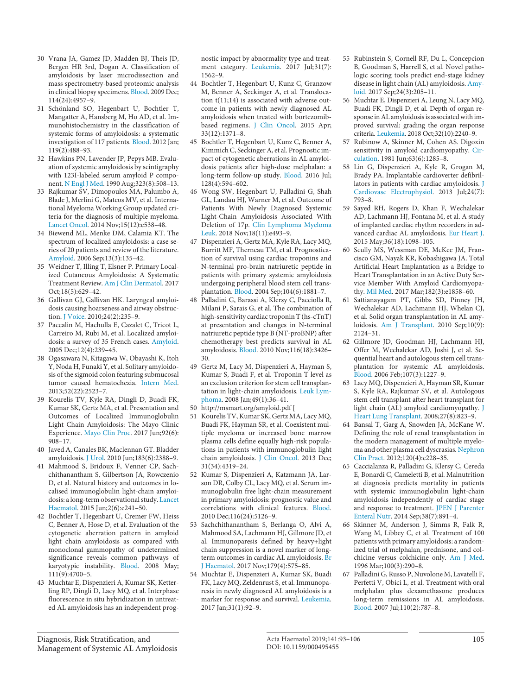- [30](#page-3-7) Vrana JA, Gamez JD, Madden BJ, Theis JD, Bergen HR 3rd, Dogan A. Classification of amyloidosis by laser microdissection and mass spectrometry-based proteomic analysis in clinical biopsy specimens. [Blood.](https://www.karger.com/Article/FullText/495455?ref=30#ref30) 2009 Dec; 114(24):4957–9.
- [31](#page-3-8) Schönland SO, Hegenbart U, Bochtler T, Mangatter A, Hansberg M, Ho AD, et al. Immunohistochemistry in the classification of systemic forms of amyloidosis: a systematic investigation of 117 patients. [Blood.](https://www.karger.com/Article/FullText/495455?ref=31#ref31) 2012 Jan; 119(2):488–93.
- [32](#page-5-0) Hawkins PN, Lavender JP, Pepys MB. Evaluation of systemic amyloidosis by scintigraphy with 123I-labeled serum amyloid P component. [N Engl J Med.](https://www.karger.com/Article/FullText/495455?ref=32#ref32) 1990 Aug;323(8):508–13.
- [33](#page-5-1) Rajkumar SV, Dimopoulos MA, Palumbo A, Blade J, Merlini G, Mateos MV, et al. International Myeloma Working Group updated criteria for the diagnosis of multiple myeloma. [Lancet Oncol.](https://www.karger.com/Article/FullText/495455?ref=33#ref33) 2014 Nov;15(12):e538–48.
- [34](#page-5-2) Biewend ML, Menke DM, Calamia KT. The spectrum of localized amyloidosis: a case series of 20 patients and review of the literature. [Amyloid](https://www.karger.com/Article/FullText/495455?ref=34#ref34). 2006 Sep;13(3):135–42.
- [35](#page-5-3) Weidner T, Illing T, Elsner P. Primary Localized Cutaneous Amyloidosis: A Systematic Treatment Review. [Am J Clin Dermatol.](https://www.karger.com/Article/FullText/495455?ref=35#ref35) 2017 Oct;18(5):629–42.
- [36](#page-5-4) Gallivan GJ, Gallivan HK. Laryngeal amyloidosis causing hoarseness and airway obstruction. [J Voice](https://www.karger.com/Article/FullText/495455?ref=36#ref36). 2010;24(2):235–9.
- [37](#page-5-5) Paccalin M, Hachulla E, Cazalet C, Tricot L, Carreiro M, Rubi M, et al. Localized amyloidosis: a survey of 35 French cases. [Amyloid](https://www.karger.com/Article/FullText/495455?ref=37#ref37). 2005 Dec;12(4):239–45.
- [38](#page-5-6) Ogasawara N, Kitagawa W, Obayashi K, Itoh Y, Noda H, Funaki Y, et al. Solitary amyloidosis of the sigmoid colon featuring submucosal tumor caused hematochezia. [Intern Med](https://www.karger.com/Article/FullText/495455?ref=38#ref38). 2013;52(22):2523–7.
- [39](#page-5-7) Kourelis TV, Kyle RA, Dingli D, Buadi FK, Kumar SK, Gertz MA, et al. Presentation and Outcomes of Localized Immunoglobulin Light Chain Amyloidosis: The Mayo Clinic Experience. [Mayo Clin Proc.](https://www.karger.com/Article/FullText/495455?ref=39#ref39) 2017 Jun;92(6): 908–17.
- Javed A, Canales BK, Maclennan GT. Bladder amyloidosis. [J Urol.](https://www.karger.com/Article/FullText/495455?ref=40#ref40) 2010 Jun;183(6):2388–9.
- [41](#page-5-9) Mahmood S, Bridoux F, Venner CP, Sachchithanantham S, Gilbertson JA, Rowczenio D, et al. Natural history and outcomes in localised immunoglobulin light-chain amyloidosis: a long-term observational study. [Lancet](https://www.karger.com/Article/FullText/495455?ref=41#ref41) [Haematol.](https://www.karger.com/Article/FullText/495455?ref=41#ref41) 2015 Jun;2(6):e241–50.
- [42](#page-5-10) Bochtler T, Hegenbart U, Cremer FW, Heiss C, Benner A, Hose D, et al. Evaluation of the cytogenetic aberration pattern in amyloid light chain amyloidosis as compared with monoclonal gammopathy of undetermined significance reveals common pathways of karyotypic instability. [Blood](https://www.karger.com/Article/FullText/495455?ref=42#ref42). 2008 May; 111(9):4700–5.
- [43](#page-5-11) Muchtar E, Dispenzieri A, Kumar SK, Ketterling RP, Dingli D, Lacy MQ, et al. Interphase fluorescence in situ hybridization in untreated AL amyloidosis has an independent prog-

nostic impact by abnormality type and treatment category. [Leukemia](https://www.karger.com/Article/FullText/495455?ref=43#ref43). 2017 Jul;31(7): 1562–9.

- [44](#page-5-12) Bochtler T, Hegenbart U, Kunz C, Granzow M, Benner A, Seckinger A, et al. Translocation t(11;14) is associated with adverse outcome in patients with newly diagnosed AL amyloidosis when treated with bortezomibbased regimens. [J Clin Oncol.](https://www.karger.com/Article/FullText/495455?ref=44#ref44) 2015 Apr; 33(12):1371–8.
- [45](#page-5-13) Bochtler T, Hegenbart U, Kunz C, Benner A, Kimmich C, Seckinger A, et al. Prognostic impact of cytogenetic aberrations in AL amyloidosis patients after high-dose melphalan: a long-term follow-up study. [Blood.](https://www.karger.com/Article/FullText/495455?ref=45#ref45) 2016 Jul; 128(4):594–602.
- [46](#page-6-0) Wong SW, Hegenbart U, Palladini G, Shah GL, Landau HJ, Warner M, et al. Outcome of Patients With Newly Diagnosed Systemic Light-Chain Amyloidosis Associated With Deletion of 17p. [Clin Lymphoma Myeloma](https://www.karger.com/Article/FullText/495455?ref=46#ref46) [Leuk](https://www.karger.com/Article/FullText/495455?ref=46#ref46). 2018 Nov;18(11):e493–9.
- [47](#page-6-1) Dispenzieri A, Gertz MA, Kyle RA, Lacy MQ, Burritt MF, Therneau TM, et al. Prognostication of survival using cardiac troponins and N-terminal pro-brain natriuretic peptide in patients with primary systemic amyloidosis undergoing peripheral blood stem cell transplantation. [Blood](https://www.karger.com/Article/FullText/495455?ref=47#ref47). 2004 Sep;104(6):1881–7.
- [48](#page-6-2) Palladini G, Barassi A, Klersy C, Pacciolla R, Milani P, Sarais G, et al. The combination of high-sensitivity cardiac troponin T (hs-cTnT) at presentation and changes in N-terminal natriuretic peptide type B (NT-proBNP) after chemotherapy best predicts survival in AL amyloidosis. [Blood.](https://www.karger.com/Article/FullText/495455?ref=48#ref48) 2010 Nov;116(18):3426– 30.
- [49](#page-6-3) Gertz M, Lacy M, Dispenzieri A, Hayman S, Kumar S, Buadi F, et al. Troponin T level as an exclusion criterion for stem cell transplantation in light-chain amyloidosis. [Leuk Lym](https://www.karger.com/Article/FullText/495455?ref=49#ref49)[phoma.](https://www.karger.com/Article/FullText/495455?ref=49#ref49) 2008 Jan;49(1):36–41.
- [50](#page-6-4) http://msmart.org/amyloid.pdf [
- [51](#page-6-5) Kourelis TV, Kumar SK, Gertz MA, Lacy MQ, Buadi FK, Hayman SR, et al. Coexistent multiple myeloma or increased bone marrow plasma cells define equally high-risk populations in patients with immunoglobulin light chain amyloidosis. [J Clin Oncol](https://www.karger.com/Article/FullText/495455?ref=51#ref51). 2013 Dec; 31(34):4319–24.
- [52](#page-6-6) Kumar S, Dispenzieri A, Katzmann JA, Larson DR, Colby CL, Lacy MQ, et al. Serum immunoglobulin free light-chain measurement in primary amyloidosis: prognostic value and correlations with clinical features. [Blood.](https://www.karger.com/Article/FullText/495455?ref=52#ref52) 2010 Dec;116(24):5126–9.
- [53](#page-6-7) Sachchithanantham S, Berlanga O, Alvi A, Mahmood SA, Lachmann HJ, Gillmore JD, et al. Immunoparesis defined by heavy+light chain suppression is a novel marker of longterm outcomes in cardiac AL amyloidosis. [Br](https://www.karger.com/Article/FullText/495455?ref=53#ref53) [J Haematol.](https://www.karger.com/Article/FullText/495455?ref=53#ref53) 2017 Nov;179(4):575–85.
- [54](#page-6-8) Muchtar E, Dispenzieri A, Kumar SK, Buadi FK, Lacy MQ, Zeldenrust S, et al. Immunoparesis in newly diagnosed AL amyloidosis is a marker for response and survival. [Leukemia.](https://www.karger.com/Article/FullText/495455?ref=54#ref54) 2017 Jan;31(1):92–9.
- [55](#page-6-9) Rubinstein S, Cornell RF, Du L, Concepcion B, Goodman S, Harrell S, et al. Novel pathologic scoring tools predict end-stage kidney disease in light chain (AL) amyloidosis. [Amy](https://www.karger.com/Article/FullText/495455?ref=55#ref55)[loid.](https://www.karger.com/Article/FullText/495455?ref=55#ref55) 2017 Sep;24(3):205–11.
- [56](#page-6-10) Muchtar E, Dispenzieri A, Leung N, Lacy MQ, Buadi FK, Dingli D, et al. Depth of organ response in AL amyloidosis is associated with improved survival: grading the organ response criteria. [Leukemia.](https://www.karger.com/Article/FullText/495455?ref=56#ref56) 2018 Oct;32(10):2240–9.
- [57](#page-7-0) Rubinow A, Skinner M, Cohen AS. Digoxin sensitivity in amyloid cardiomyopathy. [Cir](https://www.karger.com/Article/FullText/495455?ref=57#ref57)[culation.](https://www.karger.com/Article/FullText/495455?ref=57#ref57) 1981 Jun;63(6):1285–8.
- [58](#page-7-1) Lin G, Dispenzieri A, Kyle R, Grogan M, Brady PA. Implantable cardioverter defibrillators in patients with cardiac amyloidosis. [J](https://www.karger.com/Article/FullText/495455?ref=58#ref58)  [Cardiovasc Electrophysiol.](https://www.karger.com/Article/FullText/495455?ref=58#ref58) 2013 Jul;24(7): 793–8.
- [59](#page-7-2) Sayed RH, Rogers D, Khan F, Wechalekar AD, Lachmann HJ, Fontana M, et al. A study of implanted cardiac rhythm recorders in advanced cardiac AL amyloidosis. [Eur Heart J.](https://www.karger.com/Article/FullText/495455?ref=59#ref59) 2015 May;36(18):1098–105.
- [60](#page-7-3) Scully MS, Wessman DE, McKee JM, Francisco GM, Nayak KR, Kobashigawa JA. Total Artificial Heart Implantation as a Bridge to Heart Transplantation in an Active Duty Service Member With Amyloid Cardiomyopathy. [Mil Med](https://www.karger.com/Article/FullText/495455?ref=60#ref60). 2017 Mar;182(3):e1858–60.
- [61](#page-7-3) Sattianayagam PT, Gibbs SD, Pinney JH, Wechalekar AD, Lachmann HJ, Whelan CJ, et al. Solid organ transplantation in AL amyloidosis. [Am J Transplant.](https://www.karger.com/Article/FullText/495455?ref=61#ref61) 2010 Sep;10(9): 2124–31.
- [62](#page-7-4) Gillmore JD, Goodman HJ, Lachmann HJ, Offer M, Wechalekar AD, Joshi J, et al. Sequential heart and autologous stem cell transplantation for systemic AL amyloidosis. [Blood.](https://www.karger.com/Article/FullText/495455?ref=62#ref62) 2006 Feb;107(3):1227–9.
- [63](#page-7-5) Lacy MQ, Dispenzieri A, Hayman SR, Kumar S, Kyle RA, Rajkumar SV, et al. Autologous stem cell transplant after heart transplant for light chain (AL) amyloid cardiomyopathy. [J](https://www.karger.com/Article/FullText/495455?ref=63#ref63)  [Heart Lung Transplant](https://www.karger.com/Article/FullText/495455?ref=63#ref63). 2008;27(8):823–9.
- [64](#page-7-6) Bansal T, Garg A, Snowden JA, McKane W. Defining the role of renal transplantation in the modern management of multiple myeloma and other plasma cell dyscrasias. [Nephron](https://www.karger.com/Article/FullText/495455?ref=64#ref64)  [Clin Pract](https://www.karger.com/Article/FullText/495455?ref=64#ref64). 2012;120(4):c228–35.
- [65](#page-7-7) Caccialanza R, Palladini G, Klersy C, Cereda E, Bonardi C, Cameletti B, et al. Malnutrition at diagnosis predicts mortality in patients with systemic immunoglobulin light-chain amyloidosis independently of cardiac stage and response to treatment. [JPEN J Parenter](https://www.karger.com/Article/FullText/495455?ref=65#ref65)  [Enteral Nutr.](https://www.karger.com/Article/FullText/495455?ref=65#ref65) 2014 Sep;38(7):891–4.
- [66](#page-8-0) Skinner M, Anderson J, Simms R, Falk R, Wang M, Libbey C, et al. Treatment of 100 patients with primary amyloidosis: a randomized trial of melphalan, prednisone, and colchicine versus colchicine only. [Am J Med.](https://www.karger.com/Article/FullText/495455?ref=66#ref66) 1996 Mar;100(3):290–8.
- [67](#page-8-1) Palladini G, Russo P, Nuvolone M, Lavatelli F, Perfetti V, Obici L, et al. Treatment with oral melphalan plus dexamethasone produces long-term remissions in AL amyloidosis. [Blood.](https://www.karger.com/Article/FullText/495455?ref=67#ref67) 2007 Jul;110(2):787–8.